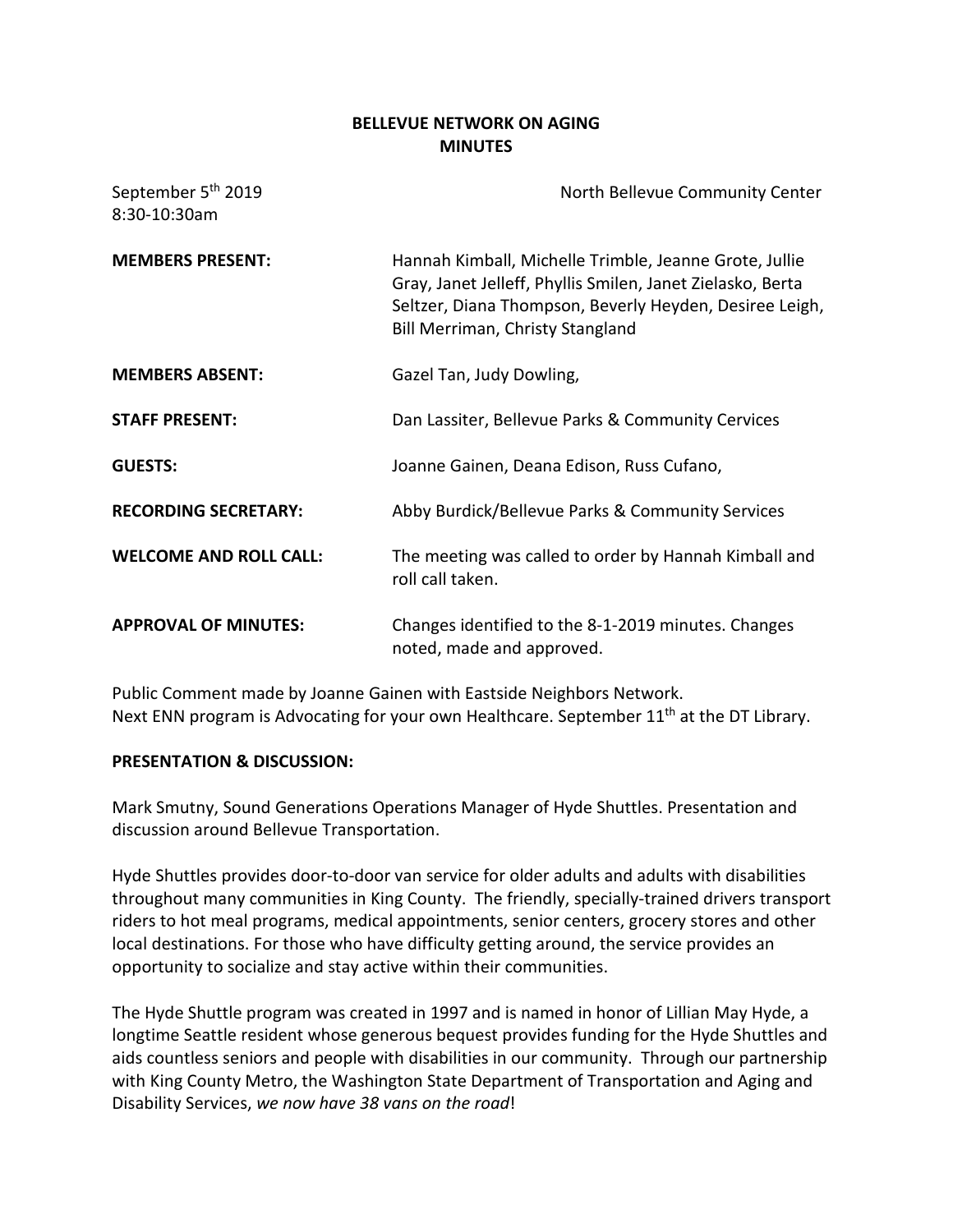## **BELLEVUE NETWORK ON AGING MINUTES**

| September 5 <sup>th</sup> 2019<br>8:30-10:30am | North Bellevue Community Center                                                                                                                                                                                     |
|------------------------------------------------|---------------------------------------------------------------------------------------------------------------------------------------------------------------------------------------------------------------------|
| <b>MEMBERS PRESENT:</b>                        | Hannah Kimball, Michelle Trimble, Jeanne Grote, Jullie<br>Gray, Janet Jelleff, Phyllis Smilen, Janet Zielasko, Berta<br>Seltzer, Diana Thompson, Beverly Heyden, Desiree Leigh,<br>Bill Merriman, Christy Stangland |
| <b>MEMBERS ABSENT:</b>                         | Gazel Tan, Judy Dowling,                                                                                                                                                                                            |
| <b>STAFF PRESENT:</b>                          | Dan Lassiter, Bellevue Parks & Community Cervices                                                                                                                                                                   |
| <b>GUESTS:</b>                                 | Joanne Gainen, Deana Edison, Russ Cufano,                                                                                                                                                                           |
| <b>RECORDING SECRETARY:</b>                    | Abby Burdick/Bellevue Parks & Community Services                                                                                                                                                                    |
| <b>WELCOME AND ROLL CALL:</b>                  | The meeting was called to order by Hannah Kimball and<br>roll call taken.                                                                                                                                           |
| <b>APPROVAL OF MINUTES:</b>                    | Changes identified to the 8-1-2019 minutes. Changes<br>noted, made and approved.                                                                                                                                    |

Public Comment made by Joanne Gainen with Eastside Neighbors Network. Next ENN program is Advocating for your own Healthcare. September 11<sup>th</sup> at the DT Library.

### **PRESENTATION & DISCUSSION:**

Mark Smutny, Sound Generations Operations Manager of Hyde Shuttles. Presentation and discussion around Bellevue Transportation.

Hyde Shuttles provides door-to-door van service for older adults and adults with disabilities throughout many communities in King County. The friendly, specially-trained drivers transport riders to hot meal programs, medical appointments, senior centers, grocery stores and other local destinations. For those who have difficulty getting around, the service provides an opportunity to socialize and stay active within their communities.

The Hyde Shuttle program was created in 1997 and is named in honor of Lillian May Hyde, a longtime Seattle resident whose generous bequest provides funding for the Hyde Shuttles and aids countless seniors and people with disabilities in our community. Through our partnership with King County Metro, the Washington State Department of Transportation and Aging and Disability Services, *we now have 38 vans on the road*!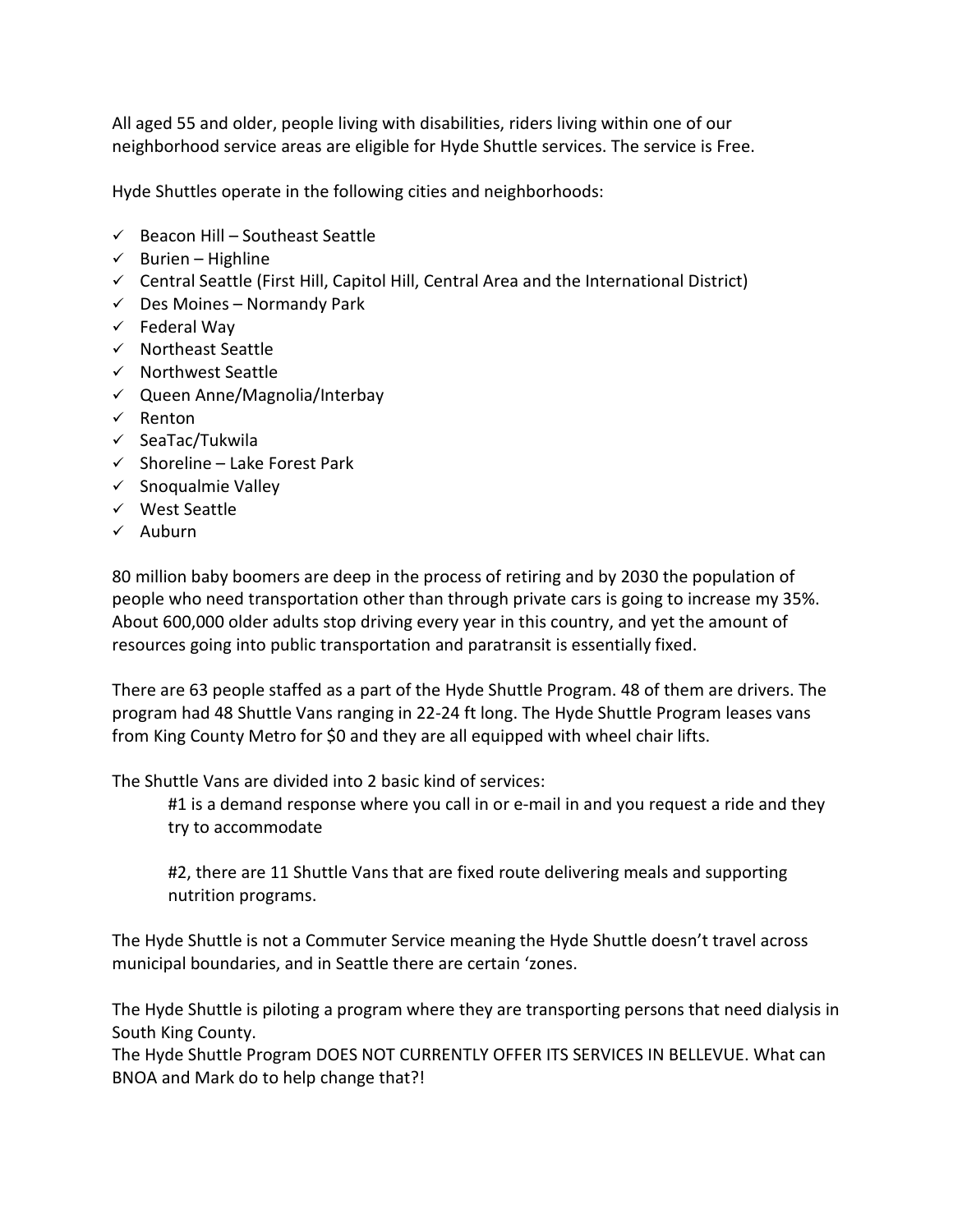All aged 55 and older, people living with disabilities, riders living within one of our neighborhood service areas are eligible for Hyde Shuttle services. The service is Free.

Hyde Shuttles operate in the following cities and neighborhoods:

- $\checkmark$  Beacon Hill Southeast Seattle
- $\checkmark$  Burien Highline
- $\checkmark$  Central Seattle (First Hill, Capitol Hill, Central Area and the International District)
- $\checkmark$  Des Moines Normandy Park
- $\checkmark$  Federal Way
- $\checkmark$  Northeast Seattle
- $\checkmark$  Northwest Seattle
- $\checkmark$  Queen Anne/Magnolia/Interbay
- $\checkmark$  Renton
- $\checkmark$  SeaTac/Tukwila
- $\checkmark$  Shoreline Lake Forest Park
- $\checkmark$  Snoqualmie Valley
- $\checkmark$  West Seattle
- $\checkmark$  Auburn

80 million baby boomers are deep in the process of retiring and by 2030 the population of people who need transportation other than through private cars is going to increase my 35%. About 600,000 older adults stop driving every year in this country, and yet the amount of resources going into public transportation and paratransit is essentially fixed.

There are 63 people staffed as a part of the Hyde Shuttle Program. 48 of them are drivers. The program had 48 Shuttle Vans ranging in 22-24 ft long. The Hyde Shuttle Program leases vans from King County Metro for \$0 and they are all equipped with wheel chair lifts.

The Shuttle Vans are divided into 2 basic kind of services:

#1 is a demand response where you call in or e-mail in and you request a ride and they try to accommodate

#2, there are 11 Shuttle Vans that are fixed route delivering meals and supporting nutrition programs.

The Hyde Shuttle is not a Commuter Service meaning the Hyde Shuttle doesn't travel across municipal boundaries, and in Seattle there are certain 'zones.

The Hyde Shuttle is piloting a program where they are transporting persons that need dialysis in South King County.

The Hyde Shuttle Program DOES NOT CURRENTLY OFFER ITS SERVICES IN BELLEVUE. What can BNOA and Mark do to help change that?!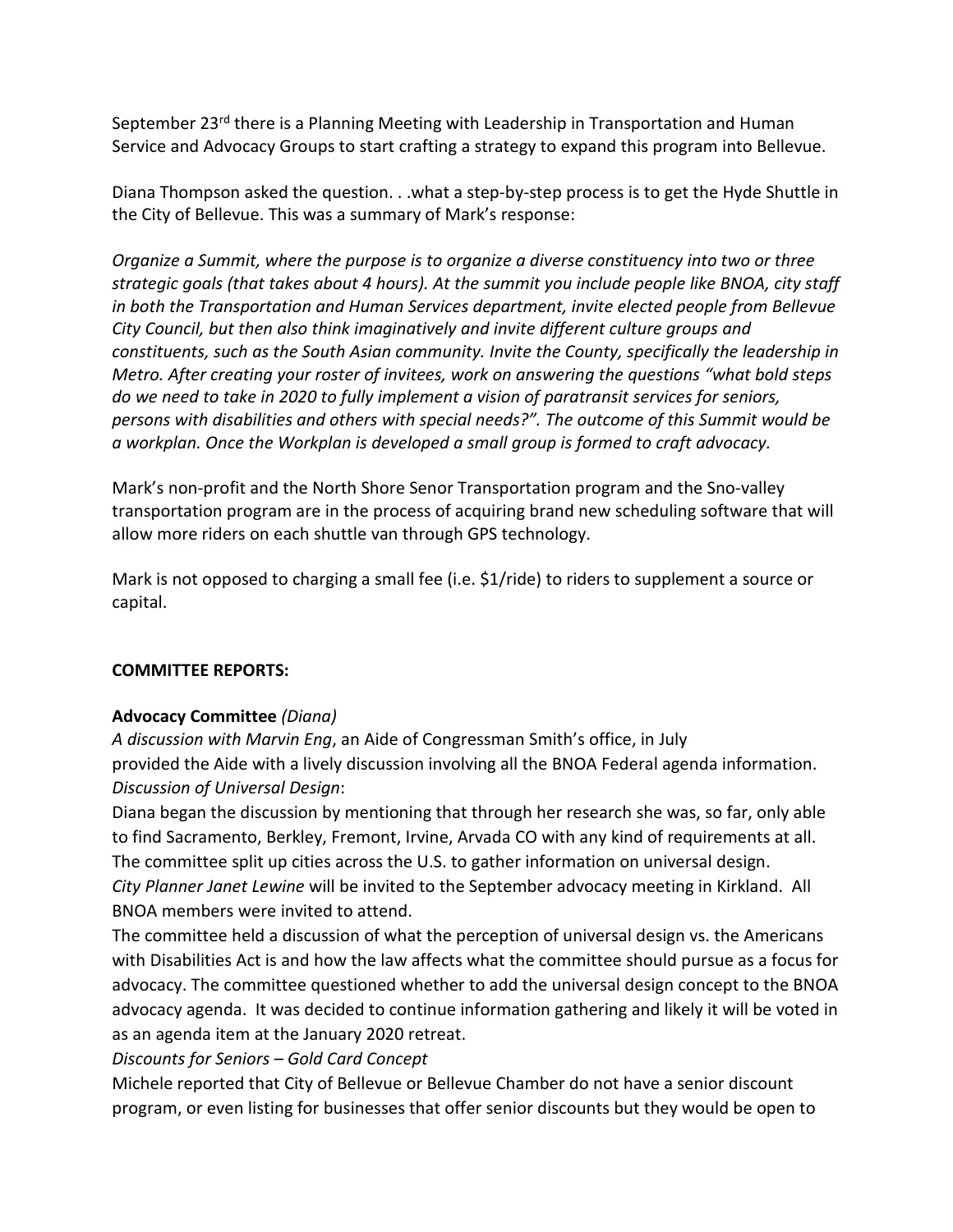September 23<sup>rd</sup> there is a Planning Meeting with Leadership in Transportation and Human Service and Advocacy Groups to start crafting a strategy to expand this program into Bellevue.

Diana Thompson asked the question. . .what a step-by-step process is to get the Hyde Shuttle in the City of Bellevue. This was a summary of Mark's response:

*Organize a Summit, where the purpose is to organize a diverse constituency into two or three strategic goals (that takes about 4 hours). At the summit you include people like BNOA, city staff in both the Transportation and Human Services department, invite elected people from Bellevue City Council, but then also think imaginatively and invite different culture groups and constituents, such as the South Asian community. Invite the County, specifically the leadership in Metro. After creating your roster of invitees, work on answering the questions "what bold steps do we need to take in 2020 to fully implement a vision of paratransit services for seniors, persons with disabilities and others with special needs?". The outcome of this Summit would be a workplan. Once the Workplan is developed a small group is formed to craft advocacy.* 

Mark's non-profit and the North Shore Senor Transportation program and the Sno-valley transportation program are in the process of acquiring brand new scheduling software that will allow more riders on each shuttle van through GPS technology.

Mark is not opposed to charging a small fee (i.e. \$1/ride) to riders to supplement a source or capital.

# **COMMITTEE REPORTS:**

# **Advocacy Committee** *(Diana)*

*A discussion with Marvin Eng*, an Aide of Congressman Smith's office, in July provided the Aide with a lively discussion involving all the BNOA Federal agenda information. *Discussion of Universal Design*:

Diana began the discussion by mentioning that through her research she was, so far, only able to find Sacramento, Berkley, Fremont, Irvine, Arvada CO with any kind of requirements at all. The committee split up cities across the U.S. to gather information on universal design. *City Planner Janet Lewine* will be invited to the September advocacy meeting in Kirkland. All BNOA members were invited to attend.

The committee held a discussion of what the perception of universal design vs. the Americans with Disabilities Act is and how the law affects what the committee should pursue as a focus for advocacy. The committee questioned whether to add the universal design concept to the BNOA advocacy agenda. It was decided to continue information gathering and likely it will be voted in as an agenda item at the January 2020 retreat.

*Discounts for Seniors – Gold Card Concept*

Michele reported that City of Bellevue or Bellevue Chamber do not have a senior discount program, or even listing for businesses that offer senior discounts but they would be open to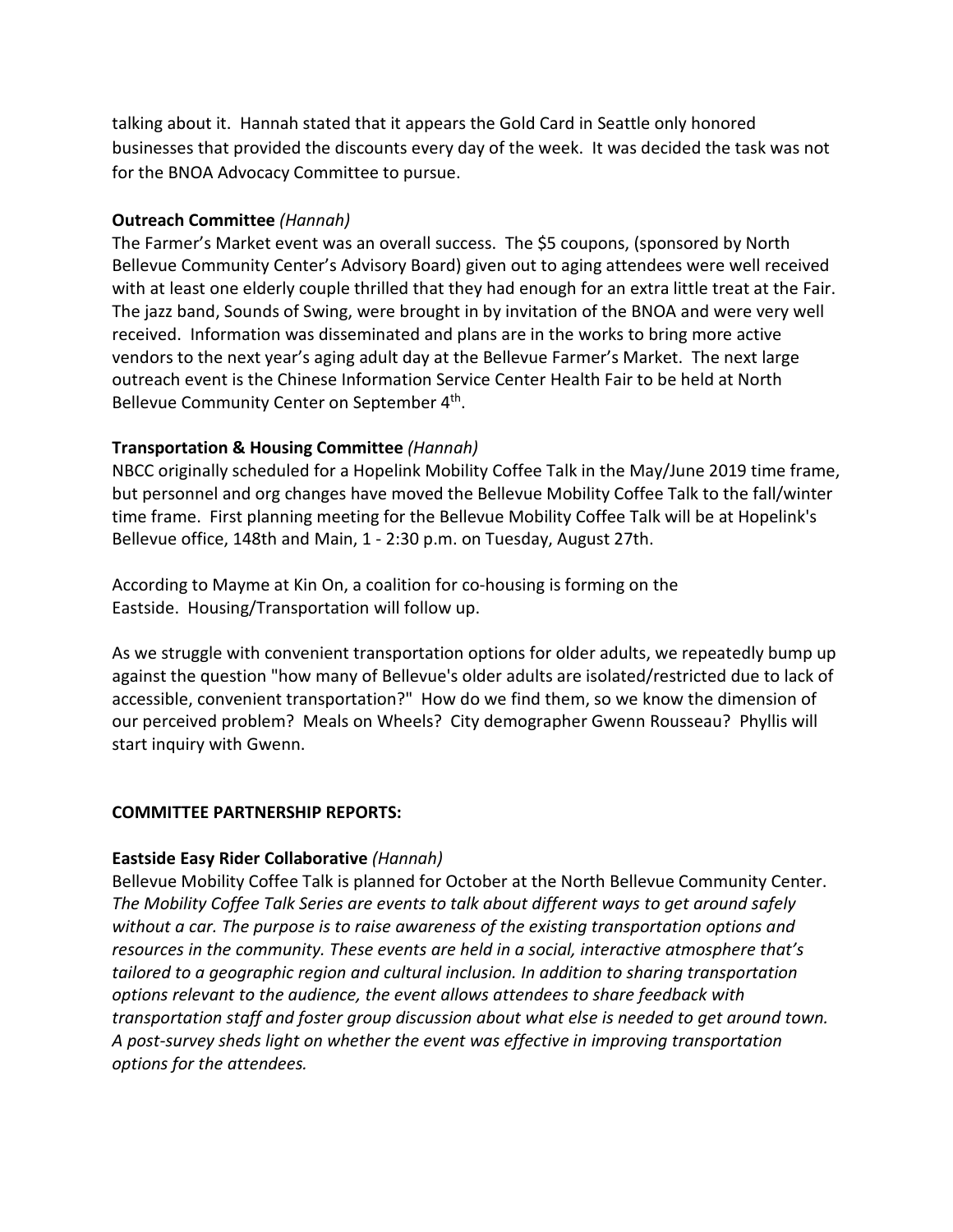talking about it. Hannah stated that it appears the Gold Card in Seattle only honored businesses that provided the discounts every day of the week. It was decided the task was not for the BNOA Advocacy Committee to pursue.

## **Outreach Committee** *(Hannah)*

The Farmer's Market event was an overall success. The \$5 coupons, (sponsored by North Bellevue Community Center's Advisory Board) given out to aging attendees were well received with at least one elderly couple thrilled that they had enough for an extra little treat at the Fair. The jazz band, Sounds of Swing, were brought in by invitation of the BNOA and were very well received. Information was disseminated and plans are in the works to bring more active vendors to the next year's aging adult day at the Bellevue Farmer's Market. The next large outreach event is the Chinese Information Service Center Health Fair to be held at North Bellevue Community Center on September 4<sup>th</sup>.

# **Transportation & Housing Committee** *(Hannah)*

NBCC originally scheduled for a Hopelink Mobility Coffee Talk in the May/June 2019 time frame, but personnel and org changes have moved the Bellevue Mobility Coffee Talk to the fall/winter time frame. First planning meeting for the Bellevue Mobility Coffee Talk will be at Hopelink's Bellevue office, 148th and Main, 1 - 2:30 p.m. on Tuesday, August 27th.

According to Mayme at Kin On, a coalition for co-housing is forming on the Eastside. Housing/Transportation will follow up.

As we struggle with convenient transportation options for older adults, we repeatedly bump up against the question "how many of Bellevue's older adults are isolated/restricted due to lack of accessible, convenient transportation?" How do we find them, so we know the dimension of our perceived problem? Meals on Wheels? City demographer Gwenn Rousseau? Phyllis will start inquiry with Gwenn.

### **COMMITTEE PARTNERSHIP REPORTS:**

### **Eastside Easy Rider Collaborative** *(Hannah)*

Bellevue Mobility Coffee Talk is planned for October at the North Bellevue Community Center. *The Mobility Coffee Talk Series are events to talk about different ways to get around safely without a car. The purpose is to raise awareness of the existing transportation options and resources in the community. These events are held in a social, interactive atmosphere that's tailored to a geographic region and cultural inclusion. In addition to sharing transportation options relevant to the audience, the event allows attendees to share feedback with transportation staff and foster group discussion about what else is needed to get around town. A post-survey sheds light on whether the event was effective in improving transportation options for the attendees.*